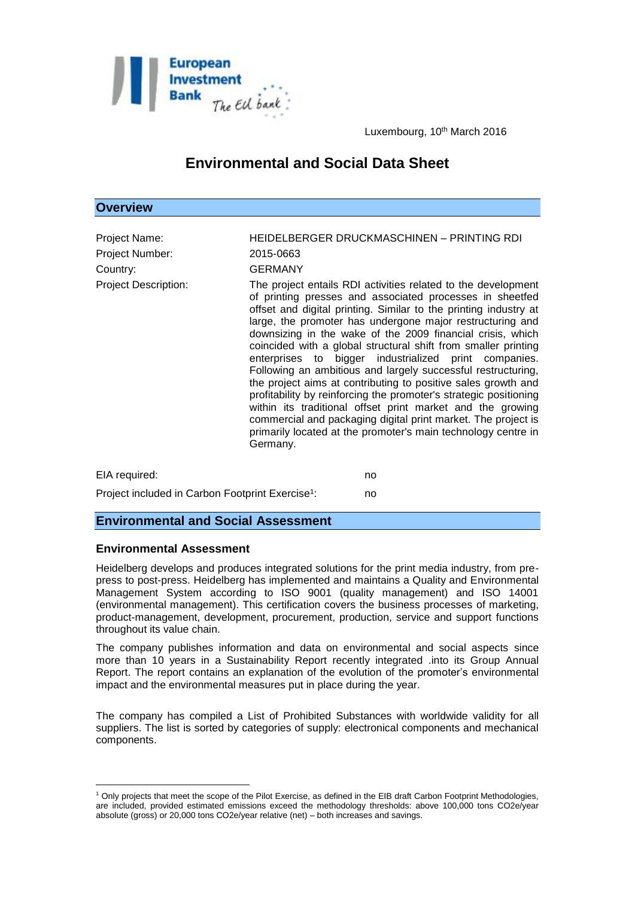

Luxembourg, 10<sup>th</sup> March 2016

# **Environmental and Social Data Sheet**

### **Overview**

| Project Name:<br>Project Number:<br>Country:<br><b>Project Description:</b> | HEIDELBERGER DRUCKMASCHINEN - PRINTING RDI<br>2015-0663<br><b>GERMANY</b><br>The project entails RDI activities related to the development<br>of printing presses and associated processes in sheetfed                                                                                                                                                                                                                                                                                                                                                                                                                                                                                                                                   |
|-----------------------------------------------------------------------------|------------------------------------------------------------------------------------------------------------------------------------------------------------------------------------------------------------------------------------------------------------------------------------------------------------------------------------------------------------------------------------------------------------------------------------------------------------------------------------------------------------------------------------------------------------------------------------------------------------------------------------------------------------------------------------------------------------------------------------------|
|                                                                             | offset and digital printing. Similar to the printing industry at<br>large, the promoter has undergone major restructuring and<br>downsizing in the wake of the 2009 financial crisis, which<br>coincided with a global structural shift from smaller printing<br>enterprises to bigger industrialized print companies.<br>Following an ambitious and largely successful restructuring,<br>the project aims at contributing to positive sales growth and<br>profitability by reinforcing the promoter's strategic positioning<br>within its traditional offset print market and the growing<br>commercial and packaging digital print market. The project is<br>primarily located at the promoter's main technology centre in<br>Germany. |
| EIA required:                                                               | no                                                                                                                                                                                                                                                                                                                                                                                                                                                                                                                                                                                                                                                                                                                                       |

Project included in Carbon Footprint Exercise<sup>1</sup>: : no

#### **Environmental and Social Assessment**

#### **Environmental Assessment**

<u>.</u>

Heidelberg develops and produces integrated solutions for the print media industry, from prepress to post-press. Heidelberg has implemented and maintains a Quality and Environmental Management System according to ISO 9001 (quality management) and ISO 14001 (environmental management). This certification covers the business processes of marketing, product-management, development, procurement, production, service and support functions throughout its value chain.

The company publishes information and data on environmental and social aspects since more than 10 years in a Sustainability Report recently integrated .into its Group Annual Report. The report contains an explanation of the evolution of the promoter's environmental impact and the environmental measures put in place during the year.

The company has compiled a List of Prohibited Substances with worldwide validity for all suppliers. The list is sorted by categories of supply: electronical components and mechanical components.

<sup>1</sup> Only projects that meet the scope of the Pilot Exercise, as defined in the EIB draft Carbon Footprint Methodologies, are included, provided estimated emissions exceed the methodology thresholds: above 100,000 tons CO2e/year absolute (gross) or 20,000 tons CO2e/year relative (net) – both increases and savings.